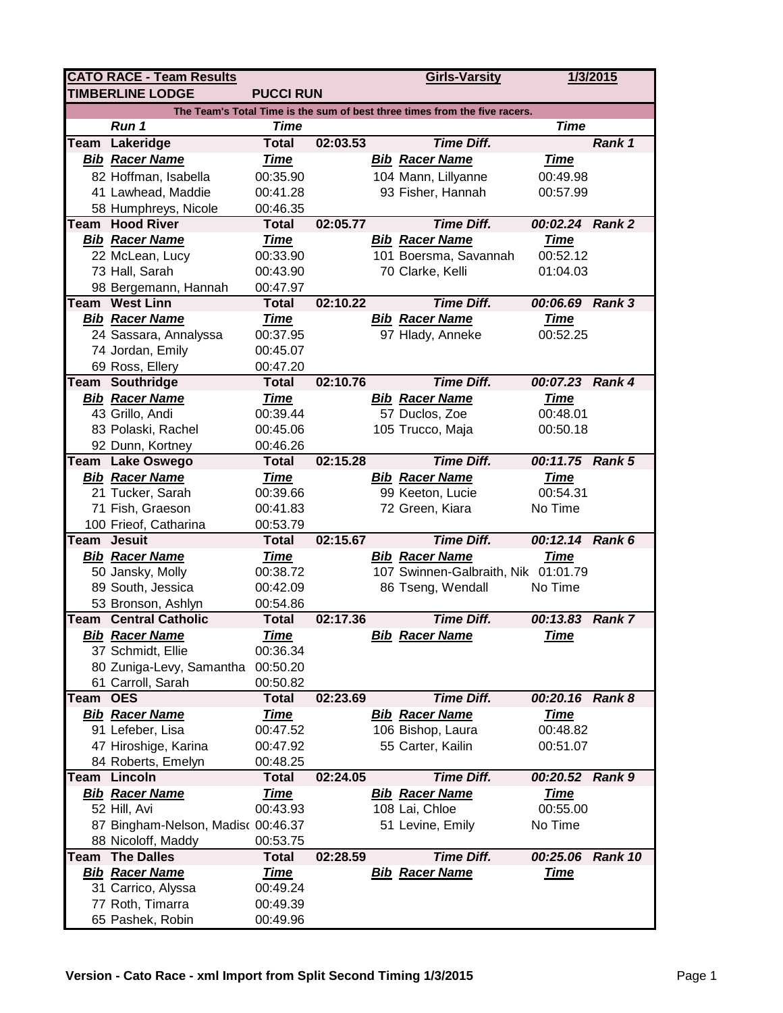| <b>CATO RACE - Team Results</b>                                            |                                    |                  |          |  | <b>Girls-Varsity</b>                |                 | 1/3/2015      |  |  |  |  |  |
|----------------------------------------------------------------------------|------------------------------------|------------------|----------|--|-------------------------------------|-----------------|---------------|--|--|--|--|--|
|                                                                            | <b>TIMBERLINE LODGE</b>            | <b>PUCCI RUN</b> |          |  |                                     |                 |               |  |  |  |  |  |
| The Team's Total Time is the sum of best three times from the five racers. |                                    |                  |          |  |                                     |                 |               |  |  |  |  |  |
|                                                                            | Run 1                              | <b>Time</b>      |          |  |                                     | <b>Time</b>     |               |  |  |  |  |  |
|                                                                            | Team Lakeridge                     | <b>Total</b>     | 02:03.53 |  | <b>Time Diff.</b>                   |                 | Rank 1        |  |  |  |  |  |
|                                                                            | <b>Bib Racer Name</b>              | <b>Time</b>      |          |  | <b>Bib Racer Name</b>               | <u>Time</u>     |               |  |  |  |  |  |
|                                                                            | 82 Hoffman, Isabella               | 00:35.90         |          |  | 104 Mann, Lillyanne                 | 00:49.98        |               |  |  |  |  |  |
|                                                                            | 41 Lawhead, Maddie                 | 00:41.28         |          |  | 93 Fisher, Hannah                   | 00:57.99        |               |  |  |  |  |  |
|                                                                            | 58 Humphreys, Nicole               | 00:46.35         |          |  |                                     |                 |               |  |  |  |  |  |
|                                                                            | Team Hood River                    | <b>Total</b>     | 02:05.77 |  | <b>Time Diff.</b>                   | 00:02.24 Rank 2 |               |  |  |  |  |  |
|                                                                            | <b>Bib Racer Name</b>              | <b>Time</b>      |          |  | <b>Bib Racer Name</b>               | <u>Time</u>     |               |  |  |  |  |  |
|                                                                            | 22 McLean, Lucy                    | 00:33.90         |          |  | 101 Boersma, Savannah               | 00:52.12        |               |  |  |  |  |  |
|                                                                            | 73 Hall, Sarah                     | 00:43.90         |          |  | 70 Clarke, Kelli                    | 01:04.03        |               |  |  |  |  |  |
|                                                                            | 98 Bergemann, Hannah               | 00:47.97         |          |  |                                     |                 |               |  |  |  |  |  |
|                                                                            | <b>Team West Linn</b>              | <b>Total</b>     | 02:10.22 |  | <b>Time Diff.</b>                   | 00:06.69 Rank 3 |               |  |  |  |  |  |
|                                                                            | <b>Bib Racer Name</b>              | <b>Time</b>      |          |  | <b>Bib Racer Name</b>               | <b>Time</b>     |               |  |  |  |  |  |
|                                                                            | 24 Sassara, Annalyssa              | 00:37.95         |          |  | 97 Hlady, Anneke                    | 00:52.25        |               |  |  |  |  |  |
|                                                                            | 74 Jordan, Emily                   | 00:45.07         |          |  |                                     |                 |               |  |  |  |  |  |
|                                                                            | 69 Ross, Ellery                    | 00:47.20         |          |  |                                     |                 |               |  |  |  |  |  |
|                                                                            | Team Southridge                    | <b>Total</b>     | 02:10.76 |  | <b>Time Diff.</b>                   | 00:07.23 Rank 4 |               |  |  |  |  |  |
|                                                                            | <b>Bib Racer Name</b>              | <b>Time</b>      |          |  | <b>Bib Racer Name</b>               | <b>Time</b>     |               |  |  |  |  |  |
|                                                                            | 43 Grillo, Andi                    | 00:39.44         |          |  | 57 Duclos, Zoe                      | 00:48.01        |               |  |  |  |  |  |
|                                                                            | 83 Polaski, Rachel                 | 00:45.06         |          |  | 105 Trucco, Maja                    | 00:50.18        |               |  |  |  |  |  |
|                                                                            | 92 Dunn, Kortney                   | 00:46.26         |          |  |                                     |                 |               |  |  |  |  |  |
|                                                                            | Team Lake Oswego                   | <b>Total</b>     | 02:15.28 |  | <b>Time Diff.</b>                   | 00:11.75 Rank 5 |               |  |  |  |  |  |
|                                                                            | <b>Bib Racer Name</b>              | <b>Time</b>      |          |  | <b>Bib Racer Name</b>               | <b>Time</b>     |               |  |  |  |  |  |
|                                                                            | 21 Tucker, Sarah                   | 00:39.66         |          |  | 99 Keeton, Lucie                    | 00:54.31        |               |  |  |  |  |  |
|                                                                            | 71 Fish, Graeson                   | 00:41.83         |          |  | 72 Green, Kiara                     | No Time         |               |  |  |  |  |  |
|                                                                            | 100 Frieof, Catharina              | 00:53.79         |          |  |                                     |                 |               |  |  |  |  |  |
| Team                                                                       | <b>Jesuit</b>                      | <b>Total</b>     | 02:15.67 |  | <b>Time Diff.</b>                   | 00:12.14 Rank 6 |               |  |  |  |  |  |
|                                                                            | <b>Bib Racer Name</b>              | <b>Time</b>      |          |  | <b>Bib Racer Name</b>               | <b>Time</b>     |               |  |  |  |  |  |
|                                                                            | 50 Jansky, Molly                   | 00:38.72         |          |  | 107 Swinnen-Galbraith, Nik 01:01.79 |                 |               |  |  |  |  |  |
|                                                                            | 89 South, Jessica                  | 00:42.09         |          |  | 86 Tseng, Wendall                   | No Time         |               |  |  |  |  |  |
|                                                                            | 53 Bronson, Ashlyn                 | 00:54.86         |          |  |                                     |                 |               |  |  |  |  |  |
|                                                                            | <b>Team Central Catholic</b>       | <b>Total</b>     | 02:17.36 |  | <b>Time Diff.</b>                   | 00:13.83        | <b>Rank 7</b> |  |  |  |  |  |
|                                                                            | <b>Bib Racer Name</b>              | <b>Time</b>      |          |  | <b>Bib Racer Name</b>               | <b>Time</b>     |               |  |  |  |  |  |
|                                                                            | 37 Schmidt, Ellie                  | 00:36.34         |          |  |                                     |                 |               |  |  |  |  |  |
|                                                                            | 80 Zuniga-Levy, Samantha 00:50.20  |                  |          |  |                                     |                 |               |  |  |  |  |  |
|                                                                            | 61 Carroll, Sarah                  | 00:50.82         |          |  |                                     |                 |               |  |  |  |  |  |
| Team                                                                       | <b>OES</b>                         | <b>Total</b>     | 02:23.69 |  | <b>Time Diff.</b>                   | 00:20.16 Rank 8 |               |  |  |  |  |  |
|                                                                            | <b>Bib Racer Name</b>              | <u>Time</u>      |          |  | <b>Bib Racer Name</b>               | <u>Time</u>     |               |  |  |  |  |  |
|                                                                            | 91 Lefeber, Lisa                   | 00:47.52         |          |  | 106 Bishop, Laura                   | 00:48.82        |               |  |  |  |  |  |
|                                                                            | 47 Hiroshige, Karina               | 00:47.92         |          |  | 55 Carter, Kailin                   | 00:51.07        |               |  |  |  |  |  |
|                                                                            | 84 Roberts, Emelyn                 | 00:48.25         |          |  |                                     |                 |               |  |  |  |  |  |
| Team                                                                       | Lincoln                            | <b>Total</b>     | 02:24.05 |  | <b>Time Diff.</b>                   | 00:20.52        | <b>Rank 9</b> |  |  |  |  |  |
|                                                                            | <b>Bib Racer Name</b>              | <b>Time</b>      |          |  | <b>Bib Racer Name</b>               | <b>Time</b>     |               |  |  |  |  |  |
|                                                                            | 52 Hill, Avi                       | 00:43.93         |          |  | 108 Lai, Chloe                      | 00:55.00        |               |  |  |  |  |  |
|                                                                            | 87 Bingham-Nelson, Madisc 00:46.37 |                  |          |  | 51 Levine, Emily                    | No Time         |               |  |  |  |  |  |
|                                                                            | 88 Nicoloff, Maddy                 | 00:53.75         |          |  |                                     |                 |               |  |  |  |  |  |
|                                                                            | <b>Team The Dalles</b>             | <b>Total</b>     | 02:28.59 |  | <b>Time Diff.</b>                   | 00:25.06        | Rank 10       |  |  |  |  |  |
|                                                                            | <b>Bib Racer Name</b>              | <b>Time</b>      |          |  | <b>Bib Racer Name</b>               | <u>Time</u>     |               |  |  |  |  |  |
|                                                                            | 31 Carrico, Alyssa                 | 00:49.24         |          |  |                                     |                 |               |  |  |  |  |  |
|                                                                            | 77 Roth, Timarra                   | 00:49.39         |          |  |                                     |                 |               |  |  |  |  |  |
|                                                                            | 65 Pashek, Robin                   | 00:49.96         |          |  |                                     |                 |               |  |  |  |  |  |